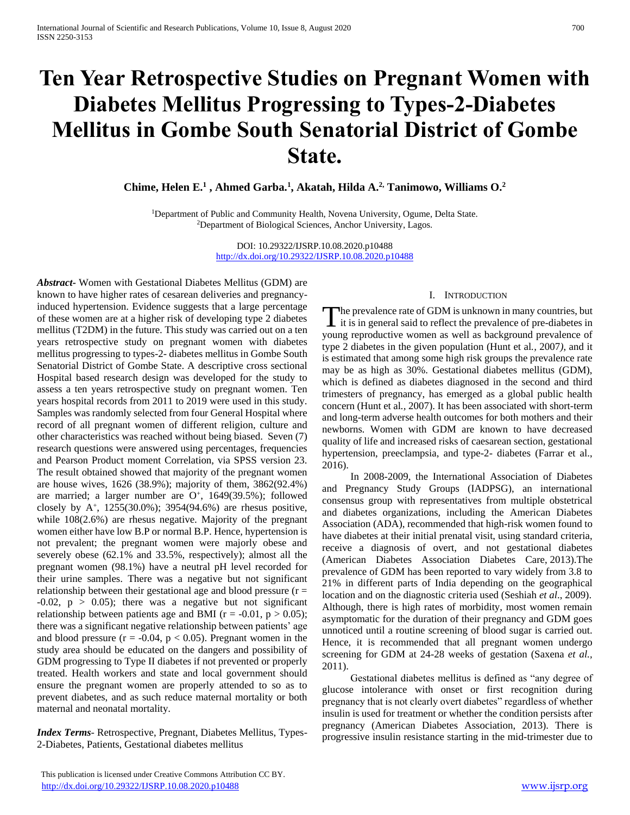# **Ten Year Retrospective Studies on Pregnant Women with Diabetes Mellitus Progressing to Types-2-Diabetes Mellitus in Gombe South Senatorial District of Gombe State.**

**Chime, Helen E.<sup>1</sup> , Ahmed Garba.<sup>1</sup> , Akatah, Hilda A.2, Tanimowo, Williams O.<sup>2</sup>**

<sup>1</sup>Department of Public and Community Health, Novena University, Ogume, Delta State. <sup>2</sup>Department of Biological Sciences, Anchor University, Lagos.

> DOI: 10.29322/IJSRP.10.08.2020.p10488 <http://dx.doi.org/10.29322/IJSRP.10.08.2020.p10488>

*Abstract***-** Women with Gestational Diabetes Mellitus (GDM) are known to have higher rates of cesarean deliveries and pregnancyinduced hypertension. Evidence suggests that a large percentage of these women are at a higher risk of developing type 2 diabetes mellitus (T2DM) in the future. This study was carried out on a ten years retrospective study on pregnant women with diabetes mellitus progressing to types-2- diabetes mellitus in Gombe South Senatorial District of Gombe State. A descriptive cross sectional Hospital based research design was developed for the study to assess a ten years retrospective study on pregnant women. Ten years hospital records from 2011 to 2019 were used in this study. Samples was randomly selected from four General Hospital where record of all pregnant women of different religion, culture and other characteristics was reached without being biased. Seven (7) research questions were answered using percentages, frequencies and Pearson Product moment Correlation, via SPSS version 23. The result obtained showed that majority of the pregnant women are house wives, 1626 (38.9%); majority of them, 3862(92.4%) are married; a larger number are  $O<sup>+</sup>$ , 1649(39.5%); followed closely by  $A^+$ , 1255(30.0%); 3954(94.6%) are rhesus positive, while 108(2.6%) are rhesus negative. Majority of the pregnant women either have low B.P or normal B.P. Hence, hypertension is not prevalent; the pregnant women were majorly obese and severely obese (62.1% and 33.5%, respectively); almost all the pregnant women (98.1%) have a neutral pH level recorded for their urine samples. There was a negative but not significant relationship between their gestational age and blood pressure  $(r =$  $-0.02$ ,  $p > 0.05$ ; there was a negative but not significant relationship between patients age and BMI ( $r = -0.01$ ,  $p > 0.05$ ); there was a significant negative relationship between patients' age and blood pressure ( $r = -0.04$ ,  $p < 0.05$ ). Pregnant women in the study area should be educated on the dangers and possibility of GDM progressing to Type II diabetes if not prevented or properly treated. Health workers and state and local government should ensure the pregnant women are properly attended to so as to prevent diabetes, and as such reduce maternal mortality or both maternal and neonatal mortality.

*Index Terms*- Retrospective, Pregnant, Diabetes Mellitus, Types-2-Diabetes, Patients, Gestational diabetes mellitus

The prevalence rate of GDM is unknown in many countries, but<br>it is in general said to reflect the prevalence of pre-diabetes in  $\mathbf I$  it is in general said to reflect the prevalence of pre-diabetes in young reproductive women as well as background prevalence of type 2 diabetes in the given population (Hunt et al*.,* 2007*)*, and it is estimated that among some high risk groups the prevalence rate may be as high as 30%. Gestational diabetes mellitus (GDM), which is defined as diabetes diagnosed in the second and third trimesters of pregnancy, has emerged as a global public health concern (Hunt et al*.,* 2007). It has been associated with short-term and long-term adverse health outcomes for both mothers and their newborns*.* Women with GDM are known to have decreased quality of life and increased risks of caesarean section, gestational hypertension, preeclampsia, and type-2- diabetes (Farrar et al., 2016).

 In 2008-2009, the International Association of Diabetes and Pregnancy Study Groups (IADPSG), an international consensus group with representatives from multiple obstetrical and diabetes organizations, including the American Diabetes Association (ADA), recommended that high-risk women found to have diabetes at their initial prenatal visit, using standard criteria, receive a diagnosis of overt, and not gestational diabetes (American Diabetes Association Diabetes Care, 2013).The prevalence of GDM has been reported to vary widely from 3.8 to 21% in different parts of India depending on the geographical location and on the diagnostic criteria used (Seshiah *et al*., 2009). Although, there is high rates of morbidity, most women remain asymptomatic for the duration of their pregnancy and GDM goes unnoticed until a routine screening of blood sugar is carried out. Hence, it is recommended that all pregnant women undergo screening for GDM at 24-28 weeks of gestation (Saxena *et al.,*  2011).

 Gestational diabetes mellitus is defined as "any degree of glucose intolerance with onset or first recognition during pregnancy that is not clearly overt diabetes" regardless of whether insulin is used for treatment or whether the condition persists after pregnancy (American Diabetes Association, 2013). There is progressive insulin resistance starting in the mid-trimester due to

I. INTRODUCTION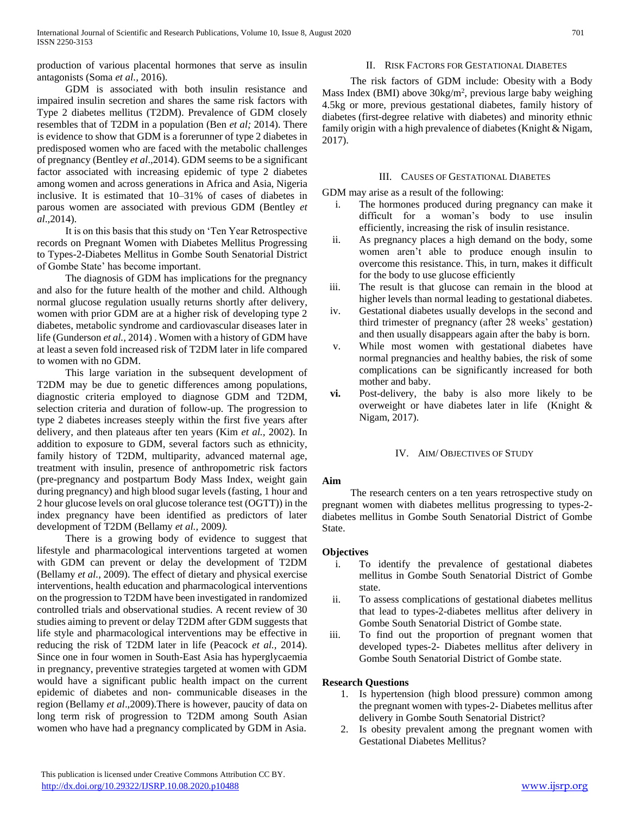production of various placental hormones that serve as insulin antagonists (Soma *et al.,* 2016).

# GDM is associated with both insulin resistance and impaired insulin secretion and shares the same risk factors with Type 2 diabetes mellitus (T2DM). Prevalence of GDM closely resembles that of T2DM in a population (Ben *et al;* 2014). There is evidence to show that GDM is a forerunner of type 2 diabetes in predisposed women who are faced with the metabolic challenges of pregnancy (Bentley *et al*.,2014). GDM seems to be a significant factor associated with increasing epidemic of type 2 diabetes among women and across generations in Africa and Asia, Nigeria inclusive. It is estimated that 10–31% of cases of diabetes in parous women are associated with previous GDM (Bentley *et al*.,2014).

 It is on this basis that this study on 'Ten Year Retrospective records on Pregnant Women with Diabetes Mellitus Progressing to Types-2-Diabetes Mellitus in Gombe South Senatorial District of Gombe State' has become important.

 The diagnosis of GDM has implications for the pregnancy and also for the future health of the mother and child. Although normal glucose regulation usually returns shortly after delivery, women with prior GDM are at a higher risk of developing type 2 diabetes, metabolic syndrome and cardiovascular diseases later in life (Gunderson *et al.,* 2014) . Women with a history of GDM have at least a seven fold increased risk of T2DM later in life compared to women with no GDM.

 This large variation in the subsequent development of T2DM may be due to genetic differences among populations, diagnostic criteria employed to diagnose GDM and T2DM, selection criteria and duration of follow-up. The progression to type 2 diabetes increases steeply within the first five years after delivery, and then plateaus after ten years (Kim *et al.,* 2002). In addition to exposure to GDM, several factors such as ethnicity, family history of T2DM, multiparity, advanced maternal age, treatment with insulin, presence of anthropometric risk factors (pre-pregnancy and postpartum Body Mass Index, weight gain during pregnancy) and high blood sugar levels (fasting, 1 hour and 2 hour glucose levels on oral glucose tolerance test (OGTT)) in the index pregnancy have been identified as predictors of later development of T2DM (Bellamy *et al.,* 2009*).*

 There is a growing body of evidence to suggest that lifestyle and pharmacological interventions targeted at women with GDM can prevent or delay the development of T2DM (Bellamy *et al.,* 2009). The effect of dietary and physical exercise interventions, health education and pharmacological interventions on the progression to T2DM have been investigated in randomized controlled trials and observational studies. A recent review of 30 studies aiming to prevent or delay T2DM after GDM suggests that life style and pharmacological interventions may be effective in reducing the risk of T2DM later in life (Peacock *et al.,* 2014). Since one in four women in South-East Asia has hyperglycaemia in pregnancy, preventive strategies targeted at women with GDM would have a significant public health impact on the current epidemic of diabetes and non- communicable diseases in the region (Bellamy *et al*.,2009).There is however, paucity of data on long term risk of progression to T2DM among South Asian women who have had a pregnancy complicated by GDM in Asia.

 The risk factors of GDM include: Obesity with a Body Mass Index (BMI) above 30kg/m<sup>2</sup>, previous large baby weighing 4.5kg or more, previous gestational diabetes, family history of diabetes (first-degree relative with diabetes) and minority ethnic family origin with a high prevalence of diabetes (Knight & Nigam, 2017).

# III. CAUSES OF GESTATIONAL DIABETES

GDM may arise as a result of the following:

- i. The hormones produced during pregnancy can make it difficult for a woman's body to use insulin efficiently, increasing the risk of insulin resistance.
- ii. As pregnancy places a high demand on the body, some women aren't able to produce enough insulin to overcome this resistance. This, in turn, makes it difficult for the body to use glucose efficiently
- iii. The result is that glucose can remain in the blood at higher levels than normal leading to gestational diabetes.
- iv. Gestational diabetes usually develops in the second and third trimester of pregnancy (after 28 weeks' gestation) and then usually disappears again after the baby is born.
- v. While most women with gestational diabetes have normal pregnancies and healthy babies, the risk of some complications can be significantly increased for both mother and baby.
- **vi.** Post-delivery, the baby is also more likely to be overweight or have diabetes later in life (Knight & Nigam, 2017).

# IV. AIM/ OBJECTIVES OF STUDY

## **Aim**

 The research centers on a ten years retrospective study on pregnant women with diabetes mellitus progressing to types-2 diabetes mellitus in Gombe South Senatorial District of Gombe State.

# **Objectives**

- i. To identify the prevalence of gestational diabetes mellitus in Gombe South Senatorial District of Gombe state.
- ii. To assess complications of gestational diabetes mellitus that lead to types-2-diabetes mellitus after delivery in Gombe South Senatorial District of Gombe state.
- iii. To find out the proportion of pregnant women that developed types-2- Diabetes mellitus after delivery in Gombe South Senatorial District of Gombe state.

# **Research Questions**

- 1. Is hypertension (high blood pressure) common among the pregnant women with types-2- Diabetes mellitus after delivery in Gombe South Senatorial District?
- 2. Is obesity prevalent among the pregnant women with Gestational Diabetes Mellitus?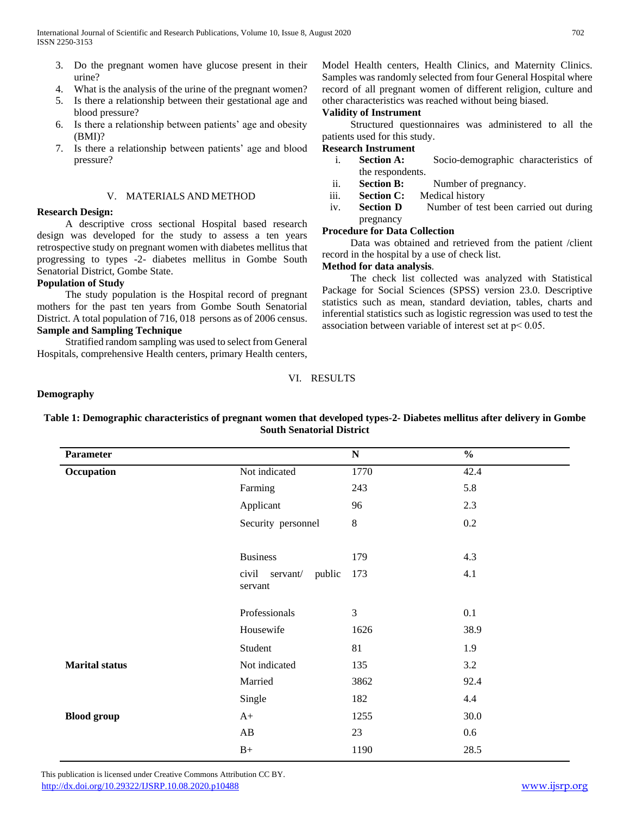- 3. Do the pregnant women have glucose present in their urine?
- 4. What is the analysis of the urine of the pregnant women?
- 5. Is there a relationship between their gestational age and blood pressure?
- 6. Is there a relationship between patients' age and obesity (BMI)?
- 7. Is there a relationship between patients' age and blood pressure?

# V. MATERIALS AND METHOD

## **Research Design:**

 A descriptive cross sectional Hospital based research design was developed for the study to assess a ten years retrospective study on pregnant women with diabetes mellitus that progressing to types -2- diabetes mellitus in Gombe South Senatorial District, Gombe State.

# **Population of Study**

 The study population is the Hospital record of pregnant mothers for the past ten years from Gombe South Senatorial District. A total population of 716, 018 persons as of 2006 census. **Sample and Sampling Technique**

 Stratified random sampling was used to select from General Hospitals, comprehensive Health centers, primary Health centers,

Model Health centers, Health Clinics, and Maternity Clinics. Samples was randomly selected from four General Hospital where record of all pregnant women of different religion, culture and other characteristics was reached without being biased.

# **Validity of Instrument**

 Structured questionnaires was administered to all the patients used for this study.

# **Research Instrument**

- i. **Section A:** Socio-demographic characteristics of the respondents.
- ii. **Section B:** Number of pregnancy.
- iii. **Section C:** Medical history
- iv. **Section D** Number of test been carried out during pregnancy

# **Procedure for Data Collection**

 Data was obtained and retrieved from the patient /client record in the hospital by a use of check list.

## **Method for data analysis**.

 The check list collected was analyzed with Statistical Package for Social Sciences (SPSS) version 23.0. Descriptive statistics such as mean, standard deviation, tables, charts and inferential statistics such as logistic regression was used to test the association between variable of interest set at p˂ 0.05.

## VI. RESULTS

## **Demography**

| <b>Parameter</b>      |                                     | ${\bf N}$ | $\frac{0}{0}$ |
|-----------------------|-------------------------------------|-----------|---------------|
| Occupation            | Not indicated                       | 1770      | 42.4          |
|                       | Farming                             | 243       | 5.8           |
|                       | Applicant                           | 96        | 2.3           |
|                       | Security personnel                  | $8\,$     | 0.2           |
|                       | <b>Business</b>                     | 179       | 4.3           |
|                       | civil servant/<br>public<br>servant | 173       | 4.1           |
|                       | Professionals                       | 3         | 0.1           |
|                       | Housewife                           | 1626      | 38.9          |
|                       | Student                             | 81        | 1.9           |
| <b>Marital status</b> | Not indicated                       | 135       | 3.2           |
|                       | Married                             | 3862      | 92.4          |
|                       | Single                              | 182       | 4.4           |
| <b>Blood</b> group    | $A+$                                | 1255      | 30.0          |
|                       | AB                                  | 23        | 0.6           |
|                       | $B+$                                | 1190      | 28.5          |

**Table 1: Demographic characteristics of pregnant women that developed types-2- Diabetes mellitus after delivery in Gombe South Senatorial District**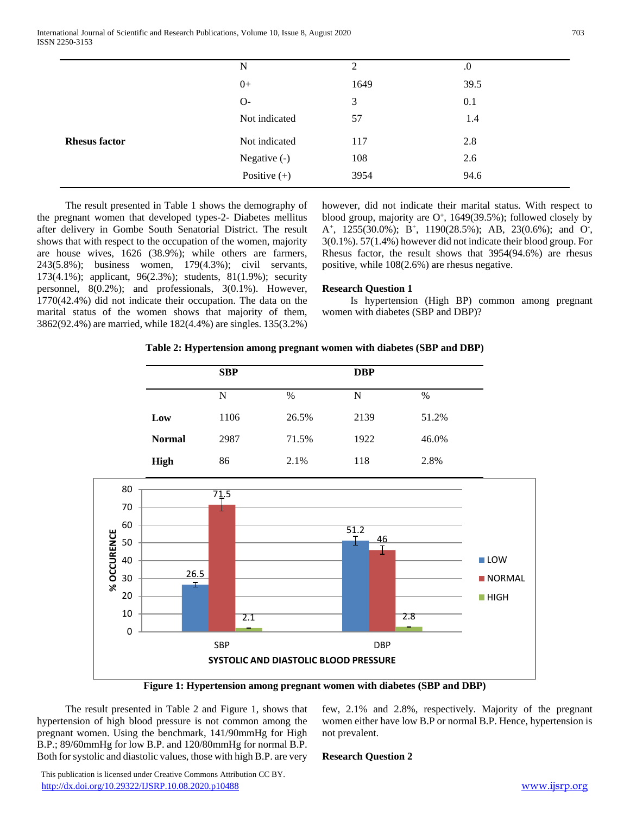| N              | 2    | $\cdot$ |  |
|----------------|------|---------|--|
| $0+$           | 1649 | 39.5    |  |
| $O-$           | 3    | 0.1     |  |
| Not indicated  | 57   | 1.4     |  |
| Not indicated  | 117  | 2.8     |  |
| Negative (-)   | 108  | 2.6     |  |
| Positive $(+)$ | 3954 | 94.6    |  |
|                |      |         |  |

 The result presented in Table 1 shows the demography of the pregnant women that developed types-2- Diabetes mellitus after delivery in Gombe South Senatorial District. The result shows that with respect to the occupation of the women, majority are house wives, 1626 (38.9%); while others are farmers, 243(5.8%); business women, 179(4.3%); civil servants, 173(4.1%); applicant, 96(2.3%); students, 81(1.9%); security personnel, 8(0.2%); and professionals, 3(0.1%). However, 1770(42.4%) did not indicate their occupation. The data on the marital status of the women shows that majority of them, 3862(92.4%) are married, while 182(4.4%) are singles. 135(3.2%)

however, did not indicate their marital status. With respect to blood group, majority are  $O<sup>+</sup>$ , 1649(39.5%); followed closely by A<sup>+</sup>, 1255(30.0%); B<sup>+</sup>, 1190(28.5%); AB, 23(0.6%); and O<sup>-</sup>, 3(0.1%). 57(1.4%) however did not indicate their blood group. For Rhesus factor, the result shows that 3954(94.6%) are rhesus positive, while 108(2.6%) are rhesus negative.

#### **Research Question 1**

 Is hypertension (High BP) common among pregnant women with diabetes (SBP and DBP)?

#### **Table 2: Hypertension among pregnant women with diabetes (SBP and DBP)**

|               | <b>SBP</b> |       | <b>DBP</b> |       |
|---------------|------------|-------|------------|-------|
|               | N          | %     | N          | $\%$  |
| Low           | 1106       | 26.5% | 2139       | 51.2% |
| <b>Normal</b> | 2987       | 71.5% | 1922       | 46.0% |
| <b>High</b>   | 86         | 2.1%  | 118        | 2.8%  |



**Figure 1: Hypertension among pregnant women with diabetes (SBP and DBP)**

 The result presented in Table 2 and Figure 1, shows that hypertension of high blood pressure is not common among the pregnant women. Using the benchmark, 141/90mmHg for High B.P.; 89/60mmHg for low B.P. and 120/80mmHg for normal B.P. Both for systolic and diastolic values, those with high B.P. are very few, 2.1% and 2.8%, respectively. Majority of the pregnant women either have low B.P or normal B.P. Hence, hypertension is not prevalent.

#### **Research Question 2**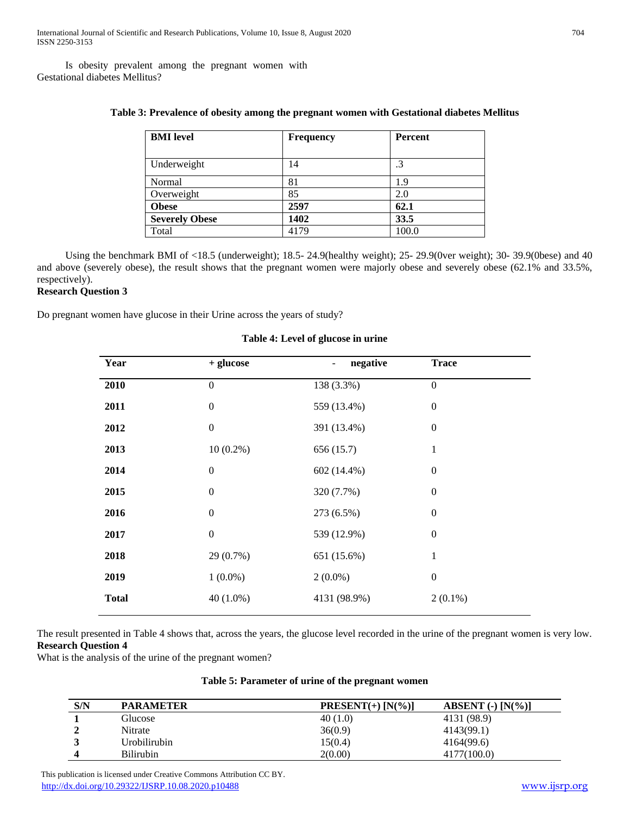Is obesity prevalent among the pregnant women with Gestational diabetes Mellitus?

| <b>BMI</b> level      | <b>Frequency</b> | <b>Percent</b> |
|-----------------------|------------------|----------------|
|                       |                  |                |
| Underweight           | 14               | .3             |
| Normal                | 81               | 1.9            |
| Overweight            | 85               | 2.0            |
| <b>Obese</b>          | 2597             | 62.1           |
| <b>Severely Obese</b> | 1402             | 33.5           |
| Total                 | 4179             | 100.0          |

# **Table 3: Prevalence of obesity among the pregnant women with Gestational diabetes Mellitus**

 Using the benchmark BMI of <18.5 (underweight); 18.5- 24.9(healthy weight); 25- 29.9(0ver weight); 30- 39.9(0bese) and 40 and above (severely obese), the result shows that the pregnant women were majorly obese and severely obese (62.1% and 33.5%, respectively).

# **Research Question 3**

Do pregnant women have glucose in their Urine across the years of study?

| Year         | + glucose        | negative<br>- | <b>Trace</b>     |
|--------------|------------------|---------------|------------------|
| 2010         | $\mathbf{0}$     | 138 (3.3%)    | $\boldsymbol{0}$ |
| 2011         | $\boldsymbol{0}$ | 559 (13.4%)   | $\boldsymbol{0}$ |
| 2012         | $\boldsymbol{0}$ | 391 (13.4%)   | $\boldsymbol{0}$ |
| 2013         | $10(0.2\%)$      | 656 (15.7)    | 1                |
| 2014         | $\mathbf{0}$     | 602 (14.4%)   | $\boldsymbol{0}$ |
| 2015         | $\mathbf{0}$     | 320 (7.7%)    | $\boldsymbol{0}$ |
| 2016         | $\mathbf{0}$     | 273 (6.5%)    | $\boldsymbol{0}$ |
| 2017         | $\boldsymbol{0}$ | 539 (12.9%)   | $\boldsymbol{0}$ |
| 2018         | 29 (0.7%)        | 651 (15.6%)   | 1                |
| 2019         | $1(0.0\%)$       | $2(0.0\%)$    | $\boldsymbol{0}$ |
| <b>Total</b> | $40(1.0\%)$      | 4131 (98.9%)  | $2(0.1\%)$       |

## **Table 4: Level of glucose in urine**

The result presented in Table 4 shows that, across the years, the glucose level recorded in the urine of the pregnant women is very low. **Research Question 4**

What is the analysis of the urine of the pregnant women?

|  |  | Table 5: Parameter of urine of the pregnant women |  |  |  |  |  |  |
|--|--|---------------------------------------------------|--|--|--|--|--|--|
|--|--|---------------------------------------------------|--|--|--|--|--|--|

| S/N | <b>PARAMETER</b> | $PRESENT(+) [N(\%)]$ | ABSENT $\left( \text{-} \right)$ [N $\left( \% \right)$ ] |
|-----|------------------|----------------------|-----------------------------------------------------------|
|     | Glucose          | 40(1.0)              | 4131 (98.9)                                               |
|     | Nitrate          | 36(0.9)              | 4143(99.1)                                                |
|     | Urobilirubin     | 15(0.4)              | 4164(99.6)                                                |
|     | <b>Bilirubin</b> | 2(0.00)              | 4177(100.0)                                               |

 This publication is licensed under Creative Commons Attribution CC BY. <http://dx.doi.org/10.29322/IJSRP.10.08.2020.p10488> [www.ijsrp.org](http://ijsrp.org/)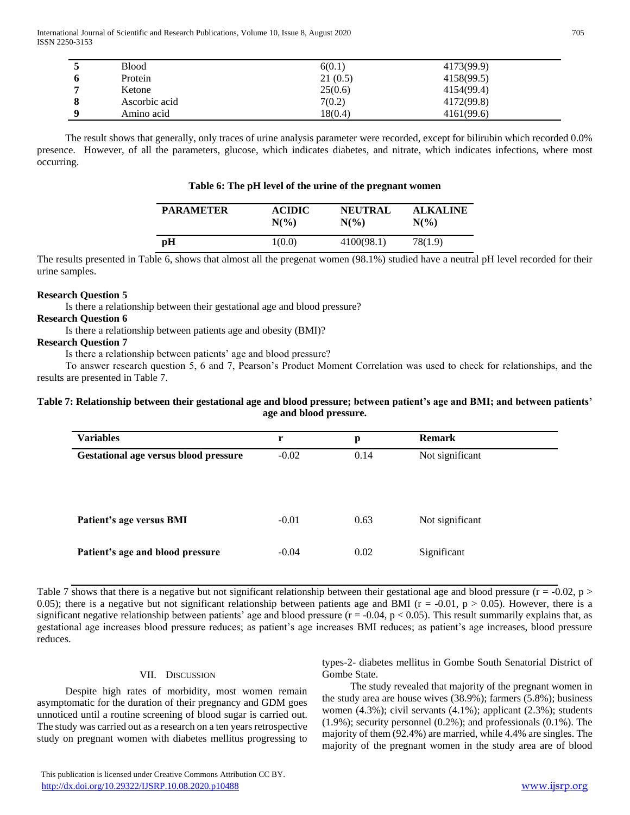International Journal of Scientific and Research Publications, Volume 10, Issue 8, August 2020 705 ISSN 2250-3153

|   | Blood         | 6(0.1)  | 4173(99.9) |
|---|---------------|---------|------------|
|   | Protein       | 21(0.5) | 4158(99.5) |
|   | Ketone        | 25(0.6) | 4154(99.4) |
| O | Ascorbic acid | 7(0.2)  | 4172(99.8) |
|   | Amino acid    | 18(0.4) | 4161(99.6) |

 The result shows that generally, only traces of urine analysis parameter were recorded, except for bilirubin which recorded 0.0% presence. However, of all the parameters, glucose, which indicates diabetes, and nitrate, which indicates infections, where most occurring.

## **Table 6: The pH level of the urine of the pregnant women**

| <b>PARAMETER</b> | <b>ACIDIC</b>   | <b>NEUTRAL</b>  | <b>ALKALINE</b> |
|------------------|-----------------|-----------------|-----------------|
|                  | $N\binom{0}{0}$ | $N\binom{0}{0}$ | $N(\%)$         |
| рH               | 1(0.0)          | 4100(98.1)      | 78(1.9)         |

The results presented in Table 6, shows that almost all the pregenat women (98.1%) studied have a neutral pH level recorded for their urine samples.

#### **Research Question 5**

Is there a relationship between their gestational age and blood pressure?

## **Research Question 6**

Is there a relationship between patients age and obesity (BMI)?

## **Research Question 7**

Is there a relationship between patients' age and blood pressure?

 To answer research question 5, 6 and 7, Pearson's Product Moment Correlation was used to check for relationships, and the results are presented in Table 7.

### **Table 7: Relationship between their gestational age and blood pressure; between patient's age and BMI; and between patients' age and blood pressure.**

| <b>Variables</b>                             | r       | p    | <b>Remark</b>   |
|----------------------------------------------|---------|------|-----------------|
| <b>Gestational age versus blood pressure</b> | $-0.02$ | 0.14 | Not significant |
|                                              |         |      |                 |
|                                              |         |      |                 |
| Patient's age versus BMI                     | $-0.01$ | 0.63 | Not significant |
| Patient's age and blood pressure             | $-0.04$ | 0.02 | Significant     |

Table 7 shows that there is a negative but not significant relationship between their gestational age and blood pressure ( $r = -0.02$ , p > 0.05); there is a negative but not significant relationship between patients age and BMI ( $r = -0.01$ ,  $p > 0.05$ ). However, there is a significant negative relationship between patients' age and blood pressure ( $r = -0.04$ ,  $p < 0.05$ ). This result summarily explains that, as gestational age increases blood pressure reduces; as patient's age increases BMI reduces; as patient's age increases, blood pressure reduces.

# VII. DISCUSSION

 Despite high rates of morbidity, most women remain asymptomatic for the duration of their pregnancy and GDM goes unnoticed until a routine screening of blood sugar is carried out. The study was carried out as a research on a ten years retrospective study on pregnant women with diabetes mellitus progressing to types-2- diabetes mellitus in Gombe South Senatorial District of Gombe State.

 The study revealed that majority of the pregnant women in the study area are house wives (38.9%); farmers (5.8%); business women (4.3%); civil servants (4.1%); applicant (2.3%); students (1.9%); security personnel (0.2%); and professionals (0.1%). The majority of them (92.4%) are married, while 4.4% are singles. The majority of the pregnant women in the study area are of blood